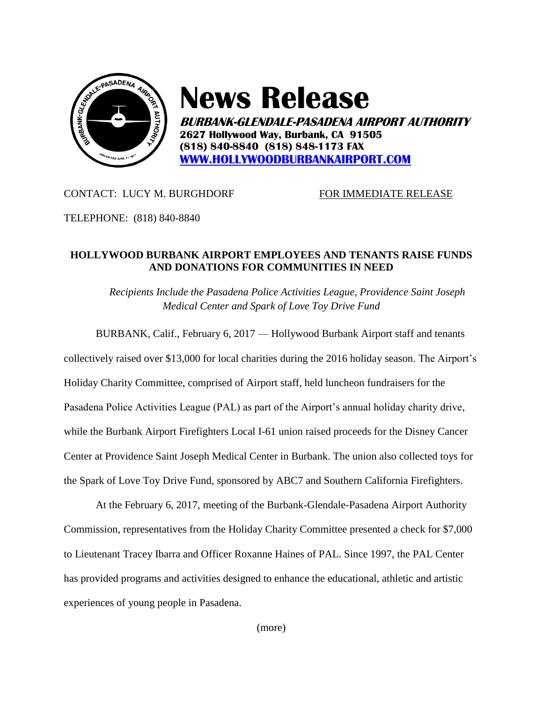

## **News Release**

**BURBANK-GLENDALE-PASADENA AIRPORT AUTHORITY 2627 Hollywood Way, Burbank, CA 91505 (818) 840-8840 (818) 848-1173 FAX [WWW.HOLLYWOODBURBANKAIRPORT.COM](http://www.hollywoodburbankairport.com/)**

## CONTACT: LUCY M. BURGHDORF FOR IMMEDIATE RELEASE

TELEPHONE: (818) 840-8840

## **HOLLYWOOD BURBANK AIRPORT EMPLOYEES AND TENANTS RAISE FUNDS AND DONATIONS FOR COMMUNITIES IN NEED**

*Recipients Include the Pasadena Police Activities League, Providence Saint Joseph Medical Center and Spark of Love Toy Drive Fund*

BURBANK, Calif., February 6, 2017 — Hollywood Burbank Airport staff and tenants

collectively raised over \$13,000 for local charities during the 2016 holiday season. The Airport's Holiday Charity Committee, comprised of Airport staff, held luncheon fundraisers for the Pasadena Police Activities League (PAL) as part of the Airport's annual holiday charity drive, while the Burbank Airport Firefighters Local I-61 union raised proceeds for the Disney Cancer Center at Providence Saint Joseph Medical Center in Burbank. The union also collected toys for the Spark of Love Toy Drive Fund, sponsored by ABC7 and Southern California Firefighters.

At the February 6, 2017, meeting of the Burbank-Glendale-Pasadena Airport Authority Commission, representatives from the Holiday Charity Committee presented a check for \$7,000 to Lieutenant Tracey Ibarra and Officer Roxanne Haines of PAL. Since 1997, the PAL Center has provided programs and activities designed to enhance the educational, athletic and artistic experiences of young people in Pasadena.